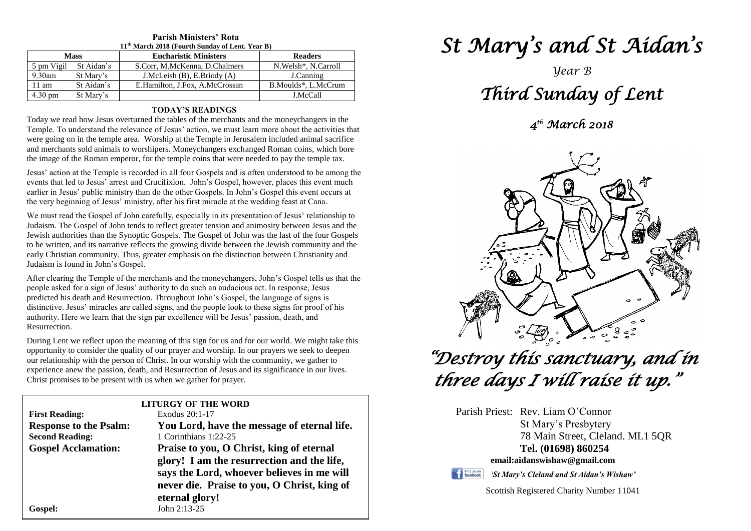| 11 <sup>th</sup> March 2018 (Fourth Sunday of Lent. Year B) |            |                                  |                       |  |
|-------------------------------------------------------------|------------|----------------------------------|-----------------------|--|
| <b>Mass</b>                                                 |            | <b>Eucharistic Ministers</b>     | <b>Readers</b>        |  |
| 5 pm Vigil                                                  | St Aidan's | S.Corr, M.McKenna, D.Chalmers    | N. Welsh*, N. Carroll |  |
| $9.30$ am                                                   | St Mary's  | J.McLeish $(B)$ , E.Briody $(A)$ | J.Canning             |  |
| $11 \text{ am}$                                             | St Aidan's | E.Hamilton, J.Fox, A.McCrossan   | B.Moulds*, L.McCrum   |  |
| 4.30 pm                                                     | St Mary's  |                                  | J.McCall              |  |

### **Parish Ministers' Rota**

#### **TODAY'S READINGS**

Today we read how Jesus overturned the tables of the merchants and the moneychangers in the Temple. To understand the relevance of Jesus' action, we must learn more about the activities that were going on in the temple area. Worship at the Temple in Jerusalem included animal sacrifice and merchants sold animals to worshipers. Moneychangers exchanged Roman coins, which bore the image of the Roman emperor, for the temple coins that were needed to pay the temple tax.

Jesus' action at the Temple is recorded in all four Gospels and is often understood to be among the events that led to Jesus' arrest and Crucifixion. John's Gospel, however, places this event much earlier in Jesus' public ministry than do the other Gospels. In John's Gospel this event occurs at the very beginning of Jesus' ministry, after his first miracle at the wedding feast at Cana.

We must read the Gospel of John carefully, especially in its presentation of Jesus' relationship to Judaism. The Gospel of John tends to reflect greater tension and animosity between Jesus and the Jewish authorities than the Synoptic Gospels. The Gospel of John was the last of the four Gospels to be written, and its narrative reflects the growing divide between the Jewish community and the early Christian community. Thus, greater emphasis on the distinction between Christianity and Judaism is found in John's Gospel.

After clearing the Temple of the merchants and the moneychangers, John's Gospel tells us<br>people asked for a sign of Jesus' authority to do such an audacious act. In response, Jesus distinctive. Jesus' miracles are called signs, and the people look to these signs for proor authority. Here we learn that the sign par excellence will be Jesus' passion, death, and After clearing the Temple of the merchants and the moneychangers, John's Gospel tells us that the predicted his death and Resurrection. Throughout John's Gospel, the language of signs is distinctive. Jesus' miracles are called signs, and the people look to these signs for proof of his Resurrection.

During Lent we reflect upon the meaning of this sign for us and for our world. We might take this opportunity to consider the quality of our prayer and worship. In our prayers we seek to deepen experience anew the passion, death, and Resurrection of Jesus and its significance in our lives.<br>Christ promises to be present with us when we gather for prayer. opportunity to consider the quality of our prayer and worship. In our prayers we seek to deepen our relationship with the person of Christ. In our worship with the community, we gather to Christ promises to be present with us when we gather for prayer.

|                               | <b>LITURGY OF THE WORD</b>                  |
|-------------------------------|---------------------------------------------|
| <b>First Reading:</b>         | Exodus 20:1-17                              |
| <b>Response to the Psalm:</b> | You Lord, have the message of eternal life. |
| <b>Second Reading:</b>        | 1 Corinthians 1:22-25                       |
| <b>Gospel Acclamation:</b>    | Praise to you, O Christ, king of eternal    |
|                               | glory! I am the resurrection and the life,  |
|                               | says the Lord, whoever believes in me will  |
|                               | never die. Praise to you, O Christ, king of |
|                               | eternal glory!                              |
| Gospel:                       | John 2:13-25                                |
|                               |                                             |

# *St Mary's and St Aidan's*

## *Year B Third Sunday of Lent*

*4 th March 2018* 



# *"Destroy this sanctuary, and in three days I will raise it up."*

Parish Priest: Rev. Liam O'Connor St Mary's Presbytery 78 Main Street, Cleland. ML1 5QR **Tel. (01698) 860254 email:aidanswishaw@gmail.com**



*'St Mary's Cleland and St Aidan's Wishaw'*

Scottish Registered Charity Number 11041